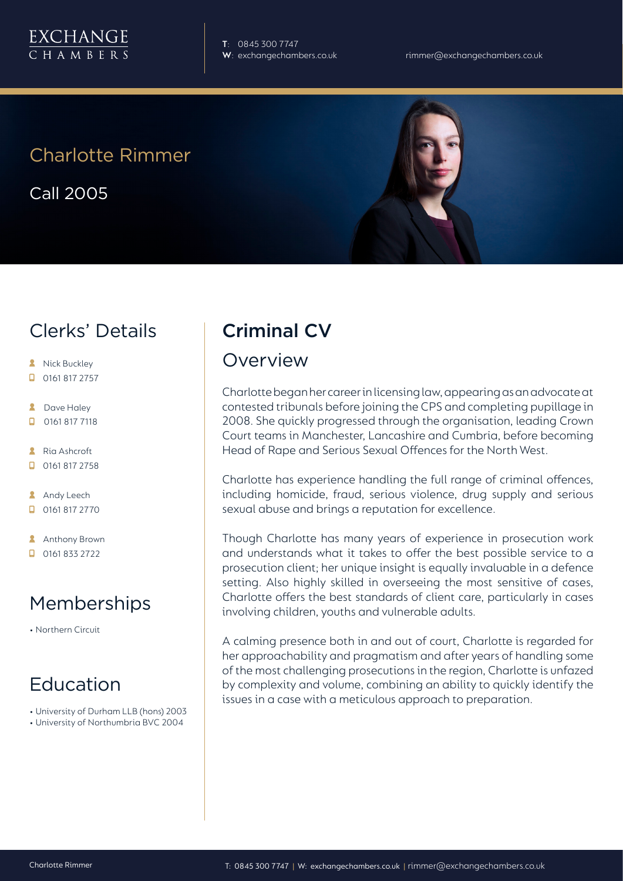

**T**: 0845 300 7747

## Charlotte Rimmer

Call 2005

## Clerks' Details

- **A** Nick Buckley
- $\Box$  0161 817 2757
- **2** Dave Haley
- $\Box$ 0161 817 7118
- Ria Ashcroft  $\Box$  0161 817 2758
- **Andy Leech**
- 0161 817 2770
- **Anthony Brown**
- 0161 833 2722

## Memberships

• Northern Circuit

## Education

- University of Durham LLB (hons) 2003
- University of Northumbria BVC 2004

# Criminal CV

#### Overview

Charlotte began her career in licensing law, appearing as an advocate at contested tribunals before joining the CPS and completing pupillage in 2008. She quickly progressed through the organisation, leading Crown Court teams in Manchester, Lancashire and Cumbria, before becoming Head of Rape and Serious Sexual Offences for the North West.

Charlotte has experience handling the full range of criminal offences, including homicide, fraud, serious violence, drug supply and serious sexual abuse and brings a reputation for excellence.

Though Charlotte has many years of experience in prosecution work and understands what it takes to offer the best possible service to a prosecution client; her unique insight is equally invaluable in a defence setting. Also highly skilled in overseeing the most sensitive of cases, Charlotte offers the best standards of client care, particularly in cases involving children, youths and vulnerable adults.

A calming presence both in and out of court, Charlotte is regarded for her approachability and pragmatism and after years of handling some of the most challenging prosecutions in the region, Charlotte is unfazed by complexity and volume, combining an ability to quickly identify the issues in a case with a meticulous approach to preparation.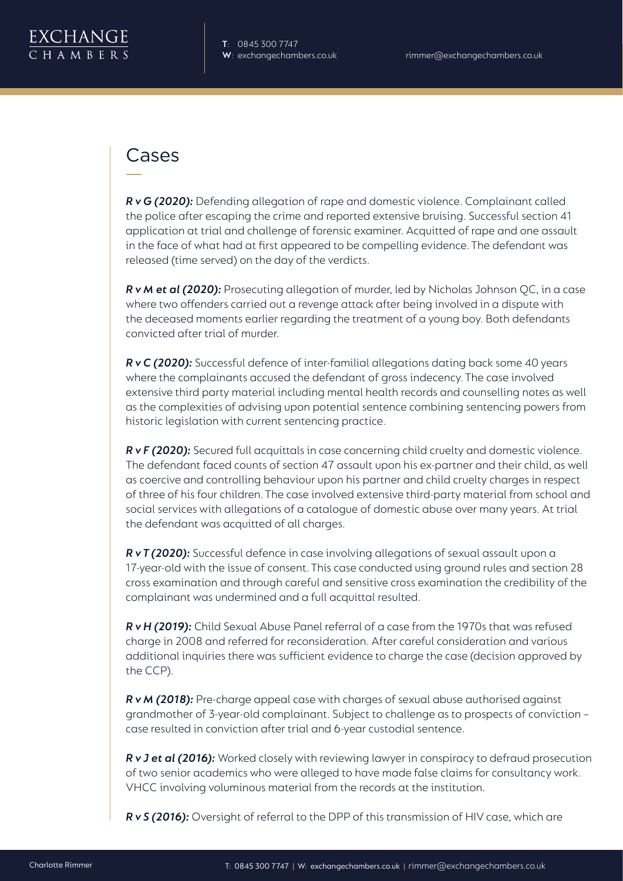

#### Cases

*R v G (2020):* Defending allegation of rape and domestic violence. Complainant called the police after escaping the crime and reported extensive bruising. Successful section 41 application at trial and challenge of forensic examiner. Acquitted of rape and one assault in the face of what had at first appeared to be compelling evidence. The defendant was released (time served) on the day of the verdicts.

*R v M et al (2020):* Prosecuting allegation of murder, led by Nicholas Johnson QC, in a case where two offenders carried out a revenge attack after being involved in a dispute with the deceased moments earlier regarding the treatment of a young boy. Both defendants convicted after trial of murder.

*R v C (2020):* Successful defence of inter-familial allegations dating back some 40 years where the complainants accused the defendant of gross indecency. The case involved extensive third party material including mental health records and counselling notes as well as the complexities of advising upon potential sentence combining sentencing powers from historic legislation with current sentencing practice.

*R v F (2020):* Secured full acquittals in case concerning child cruelty and domestic violence. The defendant faced counts of section 47 assault upon his ex-partner and their child, as well as coercive and controlling behaviour upon his partner and child cruelty charges in respect of three of his four children. The case involved extensive third-party material from school and social services with allegations of a catalogue of domestic abuse over many years. At trial the defendant was acquitted of all charges.

*R v T (2020):* Successful defence in case involving allegations of sexual assault upon a 17-year-old with the issue of consent. This case conducted using ground rules and section 28 cross examination and through careful and sensitive cross examination the credibility of the complainant was undermined and a full acquittal resulted.

*R v H (2019):* Child Sexual Abuse Panel referral of a case from the 1970s that was refused charge in 2008 and referred for reconsideration. After careful consideration and various additional inquiries there was sufficient evidence to charge the case (decision approved by the CCP).

*R v M (2018):* Pre-charge appeal case with charges of sexual abuse authorised against grandmother of 3-year-old complainant. Subject to challenge as to prospects of conviction – case resulted in conviction after trial and 6-year custodial sentence.

*R v J et al (2016):* Worked closely with reviewing lawyer in conspiracy to defraud prosecution of two senior academics who were alleged to have made false claims for consultancy work. VHCC involving voluminous material from the records at the institution.

*R v S (2016):* Oversight of referral to the DPP of this transmission of HIV case, which are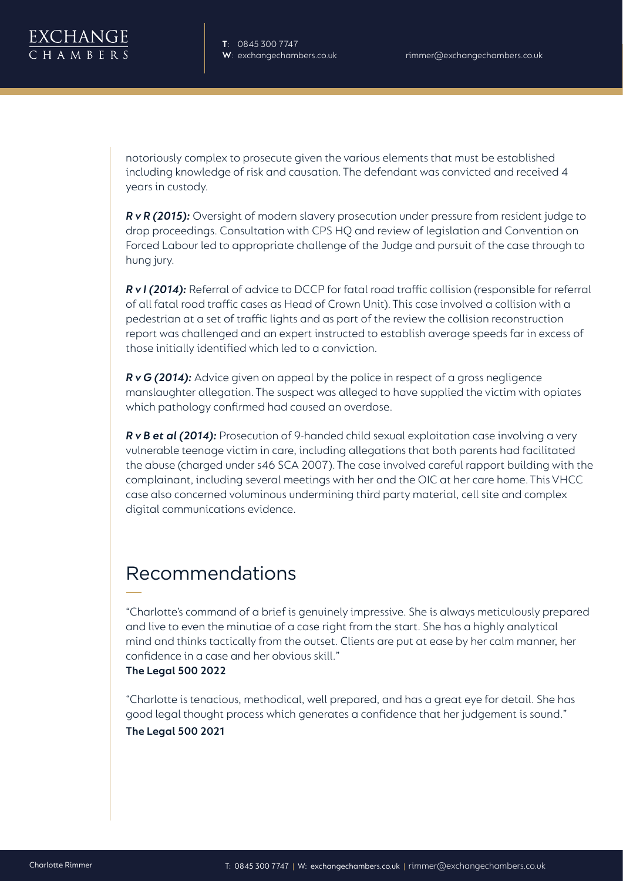notoriously complex to prosecute given the various elements that must be established including knowledge of risk and causation. The defendant was convicted and received 4 years in custody.

*R v R (2015):* Oversight of modern slavery prosecution under pressure from resident judge to drop proceedings. Consultation with CPS HQ and review of legislation and Convention on Forced Labour led to appropriate challenge of the Judge and pursuit of the case through to hung jury.

*R v I (2014):* Referral of advice to DCCP for fatal road traffic collision (responsible for referral of all fatal road traffic cases as Head of Crown Unit). This case involved a collision with a pedestrian at a set of traffic lights and as part of the review the collision reconstruction report was challenged and an expert instructed to establish average speeds far in excess of those initially identified which led to a conviction.

*R v G (2014):* Advice given on appeal by the police in respect of a gross negligence manslaughter allegation. The suspect was alleged to have supplied the victim with opiates which pathology confirmed had caused an overdose.

**R v B et al (2014):** Prosecution of 9-handed child sexual exploitation case involving a very vulnerable teenage victim in care, including allegations that both parents had facilitated the abuse (charged under s46 SCA 2007). The case involved careful rapport building with the complainant, including several meetings with her and the OIC at her care home. This VHCC case also concerned voluminous undermining third party material, cell site and complex digital communications evidence.

# Recommendations

"Charlotte's command of a brief is genuinely impressive. She is always meticulously prepared and live to even the minutiae of a case right from the start. She has a highly analytical mind and thinks tactically from the outset. Clients are put at ease by her calm manner, her confidence in a case and her obvious skill." **The Legal 500 2022**

"Charlotte is tenacious, methodical, well prepared, and has a great eye for detail. She has good legal thought process which generates a confidence that her judgement is sound." **The Legal 500 2021**